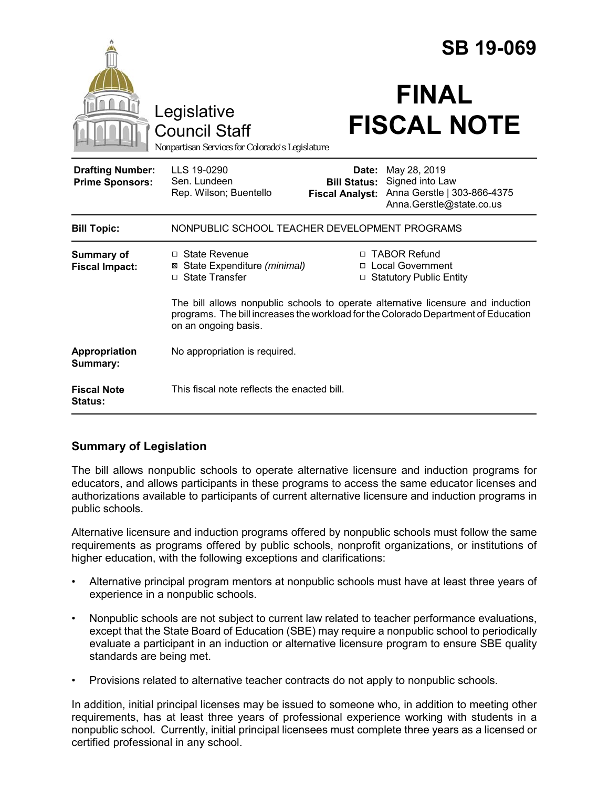|                                                   |                                                                                                                                                                                                |                                                        | <b>SB 19-069</b>                                                                           |
|---------------------------------------------------|------------------------------------------------------------------------------------------------------------------------------------------------------------------------------------------------|--------------------------------------------------------|--------------------------------------------------------------------------------------------|
|                                                   | Legislative<br><b>Council Staff</b><br>Nonpartisan Services for Colorado's Legislature                                                                                                         |                                                        | <b>FINAL</b><br><b>FISCAL NOTE</b>                                                         |
| <b>Drafting Number:</b><br><b>Prime Sponsors:</b> | LLS 19-0290<br>Sen. Lundeen<br>Rep. Wilson; Buentello                                                                                                                                          | Date:<br><b>Bill Status:</b><br><b>Fiscal Analyst:</b> | May 28, 2019<br>Signed into Law<br>Anna Gerstle   303-866-4375<br>Anna.Gerstle@state.co.us |
| <b>Bill Topic:</b>                                | NONPUBLIC SCHOOL TEACHER DEVELOPMENT PROGRAMS                                                                                                                                                  |                                                        |                                                                                            |
| <b>Summary of</b><br><b>Fiscal Impact:</b>        | □ State Revenue<br>State Expenditure (minimal)<br>⊠<br>State Transfer<br>П.                                                                                                                    | $\Box$                                                 | □ TABOR Refund<br>□ Local Government<br><b>Statutory Public Entity</b>                     |
|                                                   | The bill allows nonpublic schools to operate alternative licensure and induction<br>programs. The bill increases the workload for the Colorado Department of Education<br>on an ongoing basis. |                                                        |                                                                                            |
| Appropriation<br>Summary:                         | No appropriation is required.                                                                                                                                                                  |                                                        |                                                                                            |
| <b>Fiscal Note</b><br><b>Status:</b>              | This fiscal note reflects the enacted bill.                                                                                                                                                    |                                                        |                                                                                            |

# **Summary of Legislation**

The bill allows nonpublic schools to operate alternative licensure and induction programs for educators, and allows participants in these programs to access the same educator licenses and authorizations available to participants of current alternative licensure and induction programs in public schools.

Alternative licensure and induction programs offered by nonpublic schools must follow the same requirements as programs offered by public schools, nonprofit organizations, or institutions of higher education, with the following exceptions and clarifications:

- Alternative principal program mentors at nonpublic schools must have at least three years of experience in a nonpublic schools.
- Nonpublic schools are not subject to current law related to teacher performance evaluations, except that the State Board of Education (SBE) may require a nonpublic school to periodically evaluate a participant in an induction or alternative licensure program to ensure SBE quality standards are being met.
- Provisions related to alternative teacher contracts do not apply to nonpublic schools.

In addition, initial principal licenses may be issued to someone who, in addition to meeting other requirements, has at least three years of professional experience working with students in a nonpublic school. Currently, initial principal licensees must complete three years as a licensed or certified professional in any school.